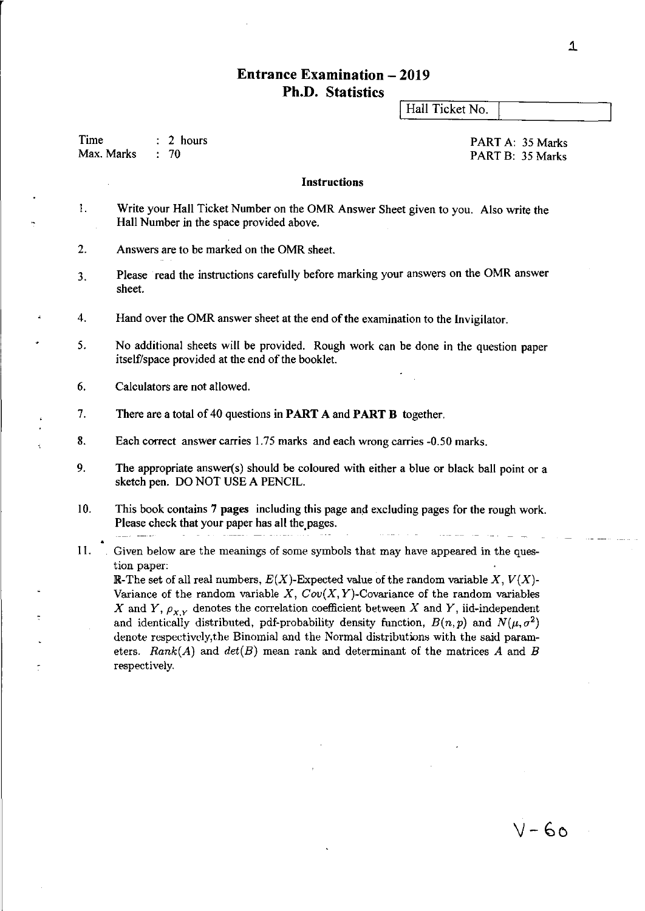### **Entrance Examination - 2019 Ph.D. Statistics**

Hall Ticket No.

Time Max. Marks 2 hours  $\div$  70

PART A: 35 Marks PART B: 35 Marks

### **Instructions**

- I. Write your Hall Ticket Number on the OMR Answer Sheet given to you. Also write the Hall Number in the space provided above.
- 2. Answers are to be marked on the OMR sheet.
- 3. Please read the instructions carefully before marking your answers on the OMR answer sheet.
- 4. Hand over the OMR answer sheet at the end of the examination to the Invigilator.
- 5. No additional sheets will be provided. Rough work can be done in the question paper itself/space provided at the end of the booklet.
- 6. Calculators are not allowed.
- 7. There are a total of 40 questions in **PART** A and **PART B** together.
- 8. Each correct answer carries 1.75 marks and each wrong carries -0.50 marks.
- 9. The appropriate answer(s) should be coloured with either a blue or black ball point or a sketch pen. DO NOT USE A PENCIL.
- 10. This book contains 7 pages including this page and excluding pages for the rough work. Please check that your paper has all the pages.
- II. Given below are the meanings of some symbols that may have appeared in the question paper:

**R**-The set of all real numbers,  $E(X)$ -Expected value of the random variable  $X, V(X)$ -Variance of the random variable  $X$ ,  $Cov(X, Y)$ -Covariance of the random variables *X* and *Y*,  $\rho_{X,Y}$  denotes the correlation coefficient between *X* and *Y*, iid-independent and identically distributed, pdf-probability density function,  $B(n, p)$  and  $N(\mu, \sigma^2)$ denote respectiwly,the Binomial and the Normal distributions with the said parameters. *Rank(A)* and  $det(B)$  mean rank and determinant of the matrices A and B respectively.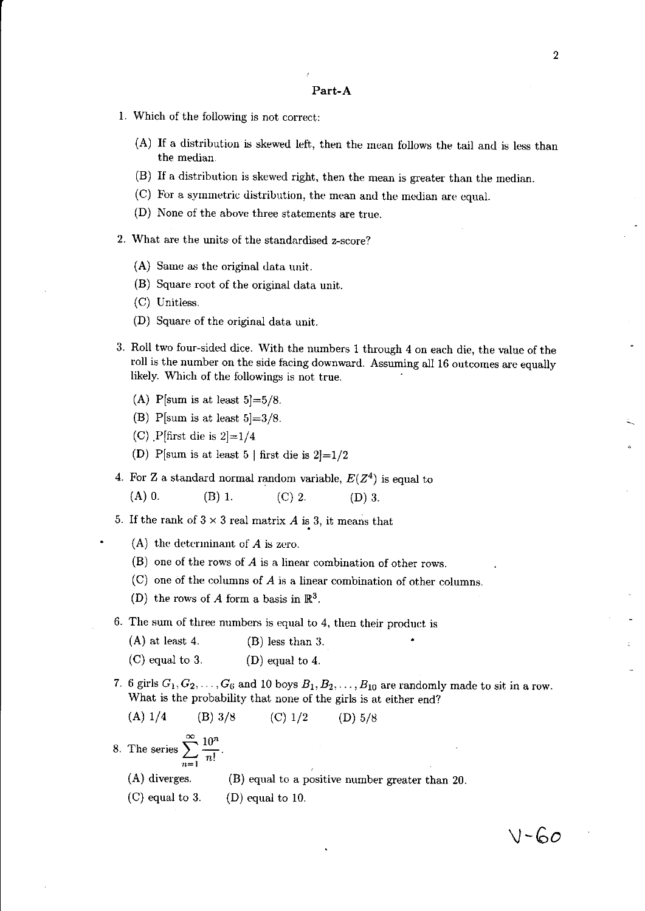#### **Part-A**

- 1. Which of the following is not correct:
	- (A) If a distribution is skewed left, then the mean follows the tail and is less than the median.
	- (B) If a distribution is skewed right, then the mean is greater than the median.
	- (C) For a symmetric distribution, the mean and the median are equal.
	- (D) None of the above three statements are true.
- 2. What are the units' of the standardised z-score?
	- (A) Same as the original data unit.
	- (B) Square root of the original data unit.
	- (C) Unitless.
	- (D) Square of the original data unit.
- 3. Roll two four-sided dice. With the numbers 1 through 4 on each die, the value of the roll is the number on the side facing downward. Assuming all 16 outcomes are equally likely. Which of the followings is not true.
	- (A) P[sum is at least  $5 = 5/8$ .
	- (B) P[sum is at least  $5|=3/8$ .
	- (C)  $\text{P}$ [first die is 2]=1/4
	- (D) P[sum is at least 5 | first die is  $2]=1/2$
- 4. For Z a standard normal random variable,  $E(Z^4)$  is equal to
	- (A) 0. (B) 1. (C) 2. (D) 3.
- 5. If the rank of  $3 \times 3$  real matrix  $A$  is 3, it means that
	- (A) the determinant of *A* is zero.
	- (B) one of the rows of *A* is a linear combination of other rows.
	- (C) one of the columns of A is a linear combination of other columns.
	- (D) the rows of A form a basis in  $\mathbb{R}^3$ .
- 6. The sum of three numbers is equal to 4, then their product is
	- (A) at least 4. (B) less than 3.
	- (C) equal to 3. (D) equal to 4.
- 7. 6 girls  $G_1, G_2, \ldots, G_6$  and 10 boys  $B_1, B_2, \ldots, B_{10}$  are randomly made to sit in a row. What is the probability that none of the girls is at either end?

(A) 
$$
1/4
$$
 (B)  $3/8$  (C)  $1/2$  (D)  $5/8$ 

8. The series  $\sum_{n=1}^{\infty} \frac{10^n}{n!}$ .

(A) diverges. (B) equal to a positive number greater than 20.

(C) equal to 3. (D) equal to 10.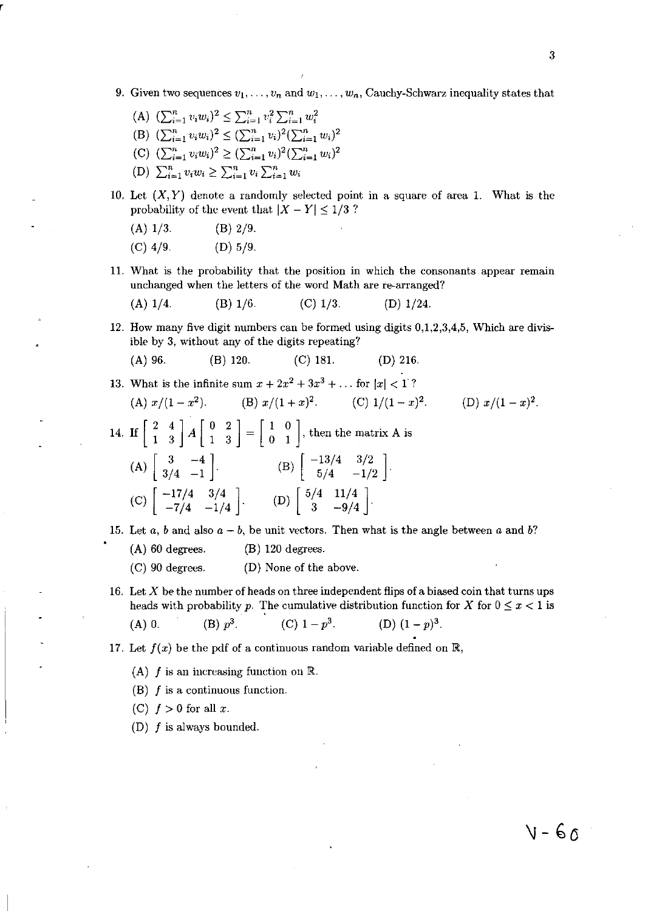9. Given two sequences  $v_1, \ldots, v_n$  and  $w_1, \ldots, w_n$ , Cauchy-Schwarz inequality states that

(A) 
$$
(\sum_{i=1}^{n} v_i w_i)^2 \le \sum_{i=1}^{n} v_i^2 \sum_{i=1}^{n} w_i^2
$$
  
\n(B)  $(\sum_{i=1}^{n} v_i w_i)^2 \le (\sum_{i=1}^{n} v_i)^2 (\sum_{i=1}^{n} w_i)^2$   
\n(C)  $(\sum_{i=1}^{n} v_i w_i)^2 \ge (\sum_{i=1}^{n} v_i)^2 (\sum_{i=1}^{n} w_i)^2$   
\n(D)  $\sum_{i=1}^{n} v_i w_i \ge \sum_{i=1}^{n} v_i \sum_{i=1}^{n} w_i$ 

- 10. Let  $(X, Y)$  denote a randomly selected point in a square of area 1. What is the probability of the event that  $|X - Y| \leq 1/3$ ?
	- $(A)$  1/3. (B) 2/9.
	- (C) 4/9. (D) 5/9.
- 11. What is the probability that the position in which the consonants appear remain unchanged when the letters of the word Math are re-arranged?

(A) 
$$
1/4
$$
. (B)  $1/6$ . (C)  $1/3$ . (D)  $1/24$ .

- 12. How many five digit numbers can be formed using digits 0,1,2,3,4,5, Which are divisible by 3, without any of the digits repeating?
	- (A) 96. (B) 120. (C) 181. (D) 216.

13. What is the infinite sum 
$$
x + 2x^2 + 3x^3 + \ldots
$$
 for  $|x| < 1$ ?

(A) 
$$
x/(1-x^2)
$$
. (B)  $x/(1+x)^2$ . (C)  $1/(1-x)^2$ . (D)  $x/(1-x)^2$ .

14. If  $\begin{bmatrix} 2 & 4 \\ 1 & 3 \end{bmatrix}$   $A \begin{bmatrix} 0 & 2 \\ 1 & 3 \end{bmatrix} = \begin{bmatrix} 1 & 0 \\ 0 & 1 \end{bmatrix}$ , then the matrix A is (A)  $\begin{bmatrix} 3 & -4 \\ 3/4 & -1 \end{bmatrix}$ . (C)  $\begin{bmatrix} -17/4 & 3/4 \\ -7/4 & -1/4 \end{bmatrix}$ . (B)  $\begin{bmatrix} -13/4 & 3/2 \\ 5/4 & -1/2 \end{bmatrix}$ . (D)  $\begin{bmatrix} 5/4 & 11/4 \\ 3 & -9/4 \end{bmatrix}$ .

15. Let  $a, b$  and also  $a - b$ , be unit vectors. Then what is the angle between  $a$  and  $b$ ?

- (A) 60 degrees. (B) 120 degrees.
- (C) 90 degrees. (D) None of the above.
- 16. Let X be the number of heads on three independent flips of a biased coin that turns ups heads with probability *p*. The cumulative distribution function for X for  $0 \le x < 1$  is

(A) 0. (B) 
$$
p^3
$$
 (C)  $1 - p^3$  (D)  $(1 - p)^3$ .

17. Let  $f(x)$  be the pdf of a continuous random variable defined on  $\mathbb{R}$ ,

- (A)  $f$  is an increasing function on  $\mathbb{R}$ .
- (B)  $f$  is a continuous function.
- (C)  $f > 0$  for all x.
- (D)  $f$  is always bounded.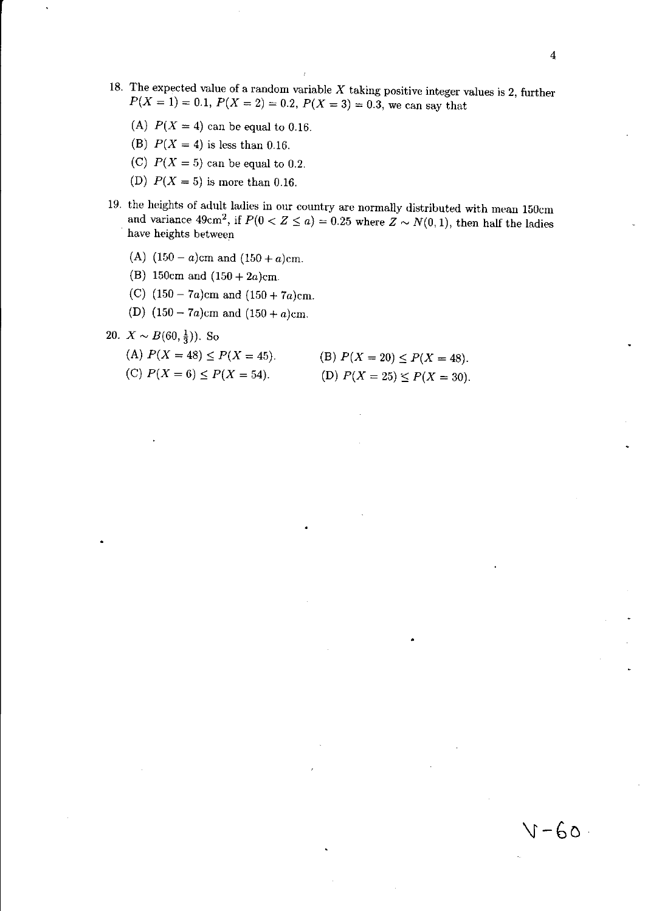- 18. The expected value of a random variable  $X$  taking positive integer values is 2, further  $P(X = 1) = 0.1, P(X = 2) = 0.2, P(X = 3) = 0.3$ , we can say that
	- (A)  $P(X = 4)$  can be equal to 0.16.
	- (B)  $P(X = 4)$  is less than 0.16.
	- (C)  $P(X = 5)$  can be equal to 0.2.
	- (D)  $P(X = 5)$  is more than 0.16.
- 19. the heights of adult ladies in our country are normally distributed with mean 150cm and variance  $49 \text{cm}^2$ , if  $P(0 < Z \le a) = 0.25$  where  $Z \sim N(0, 1)$ , then half the ladies have heights between
	- (A)  $(150 a)$ cm and  $(150 + a)$ cm.
	- (B) 150cm and (150 + *2a)cm.*
	- (e) (150 *7a)cm* and (150 + *7a)cm.*
	- (D) (150 *7a)cm* and (150 + *a)cm.*
- 20.  $X \sim B(60, \frac{1}{3})$ . So
	- (A)  $P(X = 48) \le P(X = 45)$ .
	- (C)  $P(X = 6) \le P(X = 54)$ .
- (B)  $P(X = 20) \le P(X = 48)$ . (D)  $P(X = 25) \le P(X = 30)$ .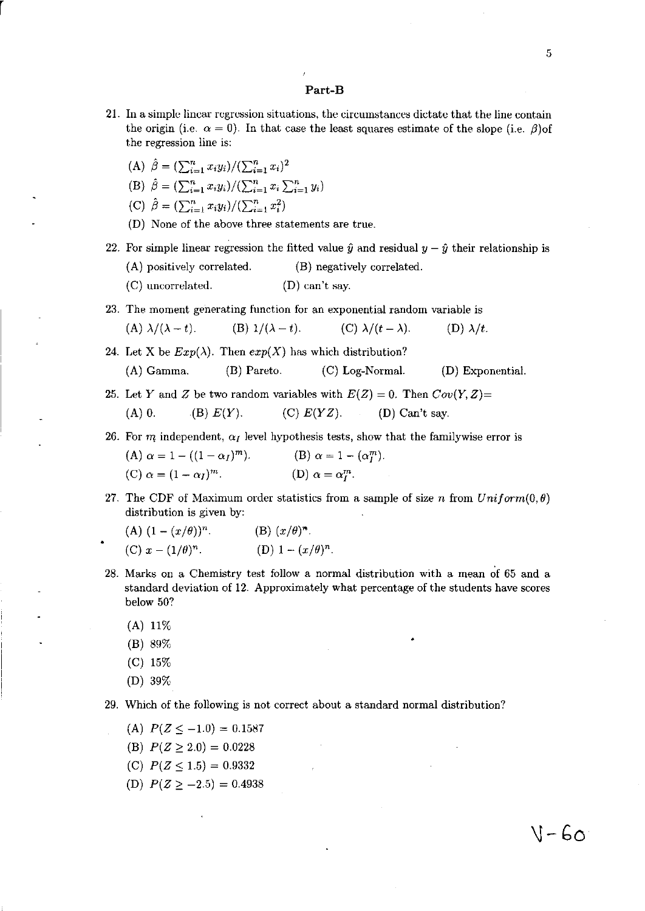#### Part-B

- 21. In a simple linear regression situations, the circumstances dictate that the line contain the origin (i.e.  $\alpha = 0$ ). In that case the least squares estimate of the slope (i.e.  $\beta$ )of the regression line is:
	- (A)  $\hat{\beta} = (\sum_{i=1}^n x_i y_i)/(\sum_{i=1}^n x_i)^2$

r

- (B)  $\hat{\beta} = (\sum_{i=1}^n x_i y_i) / (\sum_{i=1}^n x_i \sum_{i=1}^n y_i)$
- (C)  $\hat{\beta} = (\sum_{i=1}^n x_i y_i)/(\sum_{i=1}^n x_i^2)$
- (D) None of the above three statements are true.
- 22. For simple linear regression the fitted value  $\hat{y}$  and residual  $y \hat{y}$  their relationship is
	- (A) positively correlated. (B) negatively correlated.
	- (C) uncorrelated. (D) can't say.
- 23. The moment generating function for an exponential random variable is

(A)  $\lambda/(\lambda - t)$ . (B)  $1/(\lambda - t)$ . (C)  $\lambda/(t - \lambda)$ . (D)  $\lambda/t$ .

24. Let X be  $Exp(\lambda)$ . Then  $exp(X)$  has which distribution? (A) Gamma. (B) Pareto. (C) Log-Normal. (D) Exponential.

25. Let Y and Z be two random variables with  $E(Z) = 0$ . Then  $Cov(Y, Z) = 0$ (A) 0. (B)  $E(Y)$ . (C)  $E(YZ)$ . (D) Can't say.

26. For m independent,  $\alpha_I$  level hypothesis tests, show that the familywise error is

(A) 
$$
\alpha = 1 - ((1 - \alpha_I)^m)
$$
.  
\n(B)  $\alpha = 1 - (\alpha_I^m)$ .  
\n(C)  $\alpha = (1 - \alpha_I)^m$ .  
\n(D)  $\alpha = \alpha_I^m$ .

27. The CDF of Maximum order statistics from a sample of size n from  $Uniform(0, \theta)$ distribution is given by:

(A) 
$$
(1 - (x/\theta))^n
$$
.  
\n(B)  $(x/\theta)^n$ .  
\n(C)  $x - (1/\theta)^n$ .  
\n(D)  $1 - (x/\theta)^n$ .

- 28. Marks on a Chemistry test follow a normal distribution with a mean of 65 and a standard deviation of 12. Approximately what percentage of the students have scores below 50?
	- (A) 11%
	- (B) 89%
	- (C) 15%
	- (D) 39%
- 29. Which of the following is not correct about a standard normal distribution?
	- (A)  $P(Z \le -1.0) = 0.1587$
	- (B)  $P(Z \ge 2.0) = 0.0228$
	- (C)  $P(Z \leq 1.5) = 0.9332$
	- (D)  $P(Z \ge -2.5) = 0.4938$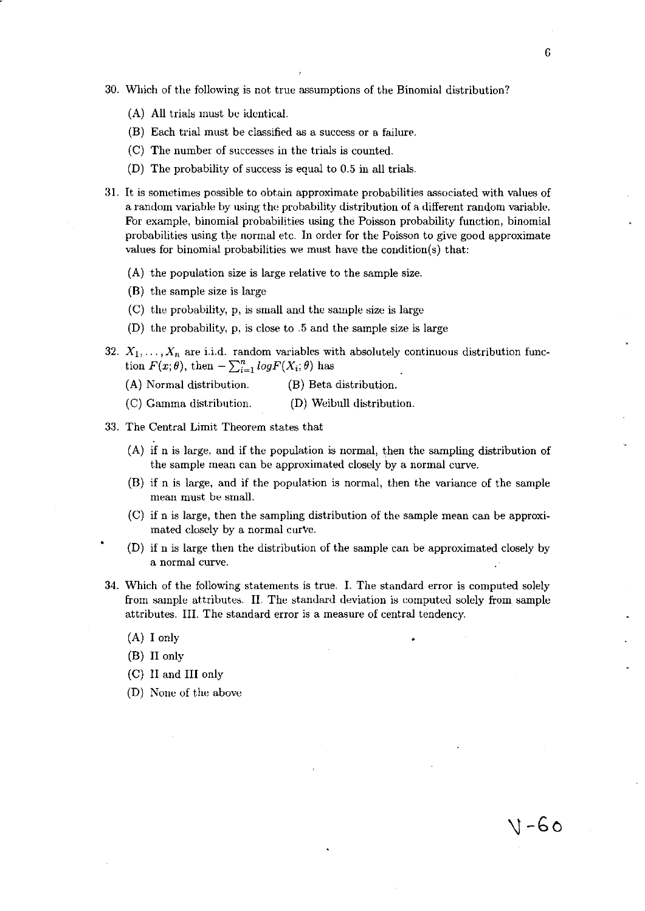- 30. Which of the following is not true assumptions of the Binomial distribution?
	- (A) All trials must be identical.
	- (B) Each trial must be classified as a success or a failure.
	- $(C)$  The number of successes in the trials is counted.
	- (D) The probability of success is equal to 0.5 in all trials.
- 3l. It is sometimes possible to obtain approximate probabilities associated with values of a random variable by using the probability distribution of a different random variable. For example, binomial probabilities using the Poisson probability function, binomial probabilities using the normal etc. In order for the Poisson to give good approximate values for binomial probabilities we must have the condition(s) that:
	- (A) the population size is large relative to the sample size.
	- (B) the sample size is large
	- (C) the probability, p, is small and the sample size is large
	- (D) the probability, p, is close to .5 and the sample size is large
- 32.  $X_1, \ldots, X_n$  are i.i.d. random variables with absolutely continuous distribution function  $F(x; \theta)$ , then  $-\sum_{i=1}^{n} log F(X_i; \theta)$  has
	- (A) Normal distribution. (B) Beta distribution.
	- (C) Gamma distribution. (D) Weibull distribution.
- 33. The Central Limit Theorem states that
	- (A) if n is large, and if the population is normal, then the sampling distribution of the sample mean can be approximated closely by a normal curve.
	- (B) if n is large, and if the population is normal, then the variance of the sample mean must be small.
	- (C) if n is large, then the sampling distribution of the sample mean can be approximated closely by a normal curve.
	- (D) if n is large then the distribution of the sample can be approximated closely by **a normal curve.**
- 34. Which of the following statements is true. I. The standard error is computed solely from sample attributes. II. The standard deviation is computed solely from sample attributes. **III.** The standard error is a measure of central tendency.
	- (A) I only
	- (B) II only
	- (C) II and III only
	- (D) None of the above

\) **-Go**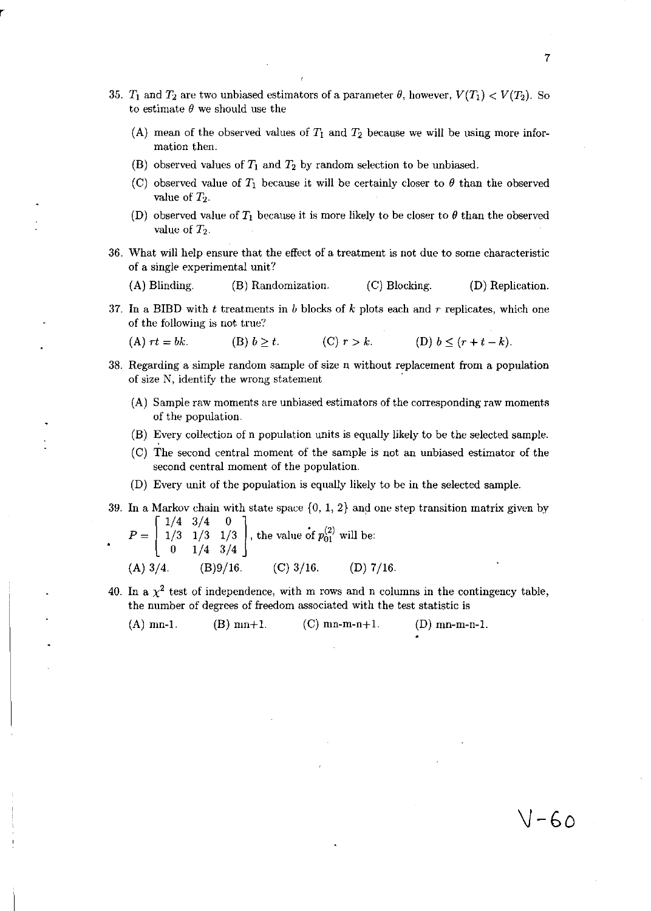- 35.  $T_1$  and  $T_2$  are two unbiased estimators of a parameter  $\theta$ , however,  $V(T_1) < V(T_2)$ . So to estimate  $\theta$  we should use the
	- (A) mean of the observed values of  $T_1$  and  $T_2$  because we will be using more information then.
	- (B) observed values of  $T_1$  and  $T_2$  by random selection to be unbiased.
	- (C) observed value of  $T_1$  because it will be certainly closer to  $\theta$  than the observed value of T*z.*
	- (D) observed value of  $T_1$  because it is more likely to be closer to  $\theta$  than the observed value of  $T_2$ .
- 36. What will help ensure that the effect of a treatment is not due to some characteristic of a single experimental unit?
	- (A) Blinding. (B) Randomization. (C) Blocking. (D) Replication.
- 37. In a BIBD with  $t$  treatments in  $b$  blocks of  $k$  plots each and  $r$  replicates, which one of the following is not true?

(A)  $rt = bk.$  (B)  $b \ge t.$  (C)  $r > k.$  (D)  $b \le (r+t-k).$ 

- 38. Regarding a simple random sample of size n without replacement from a population of size N, identify the wrong statement
	- (A) Sample raw moments are unbiased estimators of the corresponding raw moments of the population.
	- (B) Every collection of n population units is equally likely to be the selected sample.
	- (e) The second central moment of the sample is not an unbiased estimator of the second central moment of the population.
	- (D) Every unit of the population is equally likely to be in the selected sample.
- 39. In a Markov chain with state space  $\{0, 1, 2\}$  and one step transition matrix given by  $\begin{bmatrix} 1/4 & 3/4 & 0 \end{bmatrix}$

$$
P = \begin{bmatrix} 1/3 & 1/3 & 1/3 \\ 0 & 1/4 & 3/4 \end{bmatrix}
$$
, the value of  $p_{01}^{(2)}$  will be:  
(A) 3/4. (B)9/16. (C) 3/16. (D) 7/16.

40. In a  $\chi^2$  test of independence, with m rows and n columns in the contingency table, the number of degrees of freedom associated with the test statistic is

(A) mn-1. (B) mn+1. (C) mn-m-n+1. (D) mn-m-n-1.

7